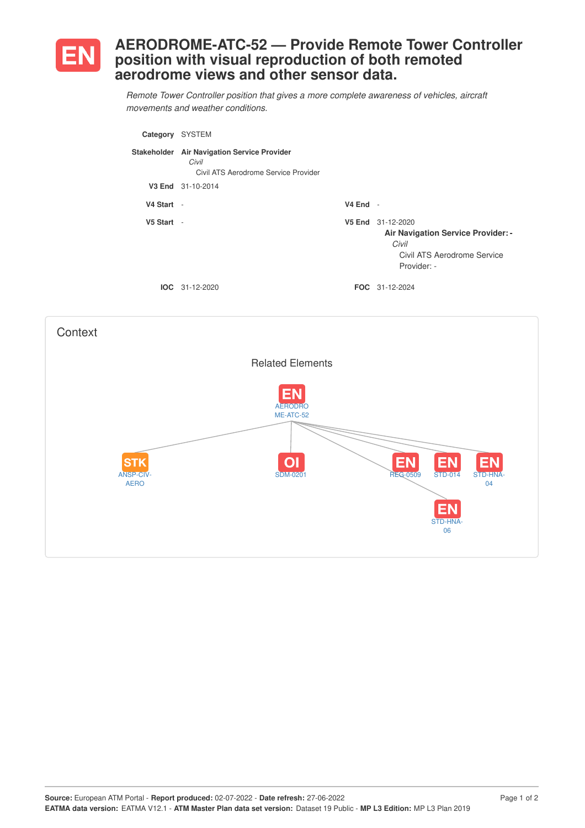

## **AERODROME-ATC-52 — Provide Remote Tower Controller position with visual reproduction of both remoted aerodrome views and other sensor data.**

*Remote Tower Controller position that gives a more complete awareness of vehicles, aircraft movements and weather conditions.*

| Category   | <b>SYSTEM</b>                                                                                |            |                                                                                                                |
|------------|----------------------------------------------------------------------------------------------|------------|----------------------------------------------------------------------------------------------------------------|
|            | Stakeholder Air Navigation Service Provider<br>Civil<br>Civil ATS Aerodrome Service Provider |            |                                                                                                                |
|            | V3 End 31-10-2014                                                                            |            |                                                                                                                |
| V4 Start - |                                                                                              | $V4$ End - |                                                                                                                |
| V5 Start   | $\overline{\phantom{a}}$                                                                     | V5 End     | 31-12-2020<br><b>Air Navigation Service Provider: -</b><br>Civil<br>Civil ATS Aerodrome Service<br>Provider: - |
|            | $IOC 31-12-2020$                                                                             |            | <b>FOC</b> 31-12-2024                                                                                          |